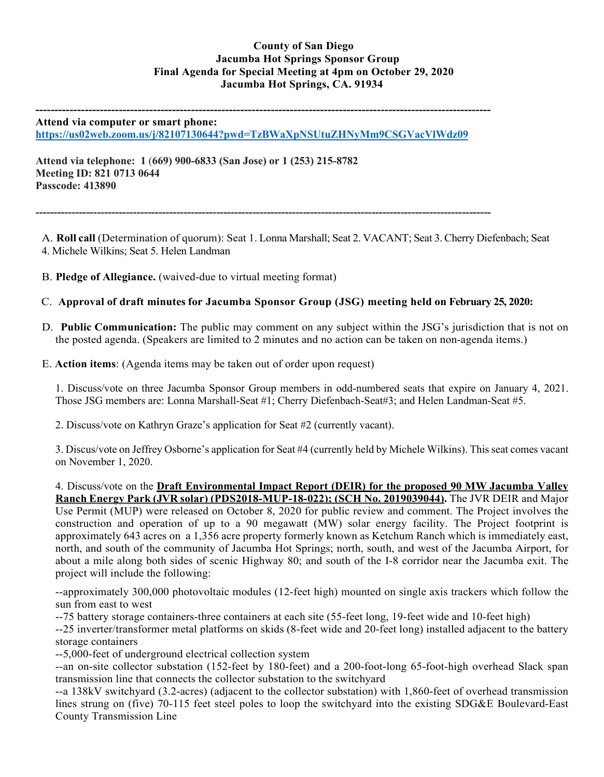## **County of San Diego Jacumba Hot Springs Sponsor Group Final Agenda for Special Meeting at 4pm on October 29, 2020 Jacumba Hot Springs, CA. 91934**

**------------------------------------------------------------------------------------------------------------------------ Attend via computer or smart phone:**

**<https://us02web.zoom.us/j/82107130644?pwd=TzBWaXpNSUtuZHNyMm9CSGVacVlWdz09>**

**Attend via telephone: 1** (**669) 900-6833 (San Jose) or 1 (253) 215-8782 Meeting ID: 821 0713 0644 Passcode: 413890**

**------------------------------------------------------------------------------------------------------------------------------**

A. **Roll call** (Determination of quorum): Seat 1. Lonna Marshall; Seat 2. VACANT; Seat 3. Cherry Diefenbach; Seat 4. Michele Wilkins; Seat 5. Helen Landman

- B. **Pledge of Allegiance.** (waived-due to virtual meeting format)
- C. **Approval of draft minutes for Jacumba Sponsor Group (JSG) meeting held on February 25, 2020:**
- D. **Public Communication:** The public may comment on any subject within the JSG's jurisdiction that is not on the posted agenda. (Speakers are limited to 2 minutes and no action can be taken on non-agenda items.)
- E. **Action items**: (Agenda items may be taken out of order upon request)

1. Discuss/vote on three Jacumba Sponsor Group members in odd-numbered seats that expire on January 4, 2021. Those JSG members are: Lonna Marshall-Seat #1; Cherry Diefenbach-Seat#3; and Helen Landman-Seat #5.

2. Discuss/vote on Kathryn Graze's application for Seat #2 (currently vacant).

3. Discus/vote on Jeffrey Osborne's application for Seat #4 (currently held by Michele Wilkins). This seat comes vacant on November 1, 2020.

4. Discuss/vote on the **Draft Environmental Impact Report (DEIR) for the proposed 90 MW Jacumba Valley Ranch Energy Park (JVR solar) (PDS2018-MUP-18-022); (SCH No. 2019039044).** The JVR DEIR and Major Use Permit (MUP) were released on October 8, 2020 for public review and comment. The Project involves the construction and operation of up to a 90 megawatt (MW) solar energy facility. The Project footprint is approximately 643 acres on a 1,356 acre property formerly known as Ketchum Ranch which is immediately east, north, and south of the community of Jacumba Hot Springs; north, south, and west of the Jacumba Airport, for about a mile along both sides of scenic Highway 80; and south of the I-8 corridor near the Jacumba exit. The project will include the following:

--approximately 300,000 photovoltaic modules (12-feet high) mounted on single axis trackers which follow the sun from east to west

--75 battery storage containers-three containers at each site (55-feet long, 19-feet wide and 10-feet high)

--25 inverter/transformer metal platforms on skids (8-feet wide and 20-feet long) installed adjacent to the battery storage containers

--5,000-feet of underground electrical collection system

--an on-site collector substation (152-feet by 180-feet) and a 200-foot-long 65-foot-high overhead Slack span transmission line that connects the collector substation to the switchyard

--a 138kV switchyard (3.2-acres) (adjacent to the collector substation) with 1,860-feet of overhead transmission lines strung on (five) 70-115 feet steel poles to loop the switchyard into the existing SDG&E Boulevard-East County Transmission Line